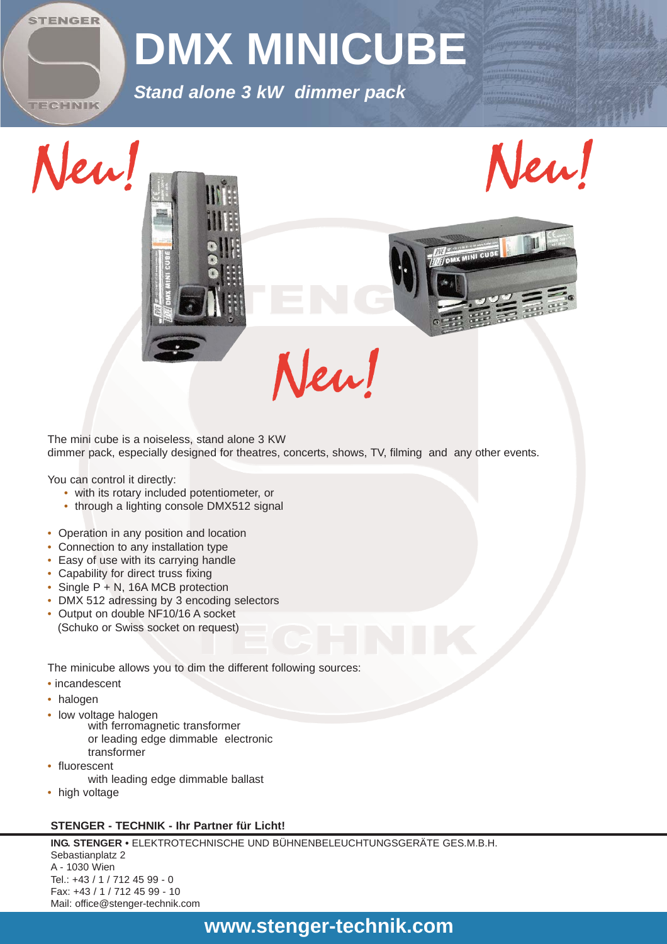

# **DMX MINICUBE**

*Stand alone 3 kW dimmer pack*



IX MINI CUBE

The mini cube is a noiseless, stand alone 3 KW dimmer pack, especially designed for theatres, concerts, shows, TV, filming and any other events.

Neu!

You can control it directly:

- with its rotary included potentiometer, or
- through a lighting console DMX512 signal
- Operation in any position and location
- Connection to any installation type
- Easy of use with its carrying handle
- Capability for direct truss fixing
- Single P + N, 16A MCB protection
- DMX 512 adressing by 3 encoding selectors
- Output on double NF10/16 A socket (Schuko or Swiss socket on request)

The minicube allows you to dim the different following sources:

- incandescent
- halogen
- 
- low voltage halogen<br>with ferromagnetic transformer or leading edge dimmable electronic transformer
- fluorescent with leading edge dimmable ballast
- high voltage

#### **STENGER - TECHNIK - Ihr Partner für Licht!**

**ING. STENGER •** ELEKTROTECHNISCHE UND BÜHNENBELEUCHTUNGSGERÄTE GES.M.B.H. Sebastianplatz 2 A - 1030 Wien Tel.: +43 / 1 / 712 45 99 - 0 Fax: +43 / 1 / 712 45 99 - 10 Mail: office@stenger-technik.com